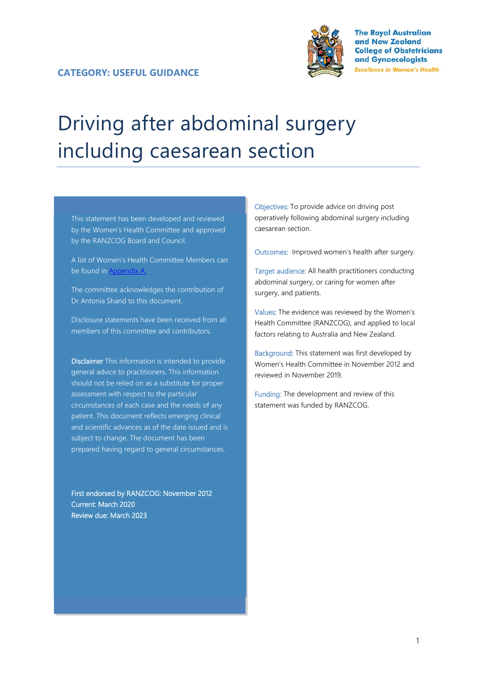

**The Roval Australian** and New Zealand **College of Obstetricians** and Gynaecologists **Excellence in Women's Health** 

# Driving after abdominal surgery including caesarean section

This statement has been developed and reviewed by the Women's Health Committee and approved by the RANZCOG Board and Council.

A list of Women's Health Committee Members can be found in Appendix A.

The committee acknowledges the contribution of Dr Antonia Shand to this document.

Disclosure statements have been received from all members of this committee and contributors.

Disclaimer This information is intended to provide general advice to practitioners. This information should not be relied on as a substitute for proper assessment with respect to the particular circumstances of each case and the needs of any patient. This document reflects emerging clinical and scientific advances as of the date issued and is subject to change. The document has been prepared having regard to general circumstances.

First endorsed by RANZCOG: November 2012 Current: March 2020 Review due: March 2023

Objectives: To provide advice on driving post operatively following abdominal surgery including caesarean section.

Outcomes: Improved women's health after surgery.

Target audience: All health practitioners conducting abdominal surgery, or caring for women after surgery, and patients.

Values: The evidence was reviewed by the Women's Health Committee (RANZCOG), and applied to local factors relating to Australia and New Zealand.

Background: This statement was first developed by Women's Health Committee in November 2012 and reviewed in November 2019.

Funding: The development and review of this statement was funded by RANZCOG.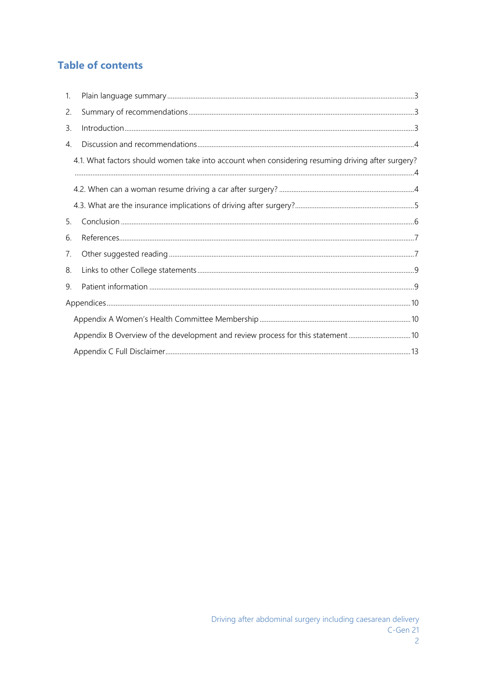# **Table of contents**

| $\mathbf{1}$ . |                                                                                                   |  |
|----------------|---------------------------------------------------------------------------------------------------|--|
| 2.             |                                                                                                   |  |
| 3.             |                                                                                                   |  |
| 4.             |                                                                                                   |  |
|                | 4.1. What factors should women take into account when considering resuming driving after surgery? |  |
|                |                                                                                                   |  |
|                |                                                                                                   |  |
| 5.             |                                                                                                   |  |
| 6.             |                                                                                                   |  |
| 7.             |                                                                                                   |  |
| 8.             |                                                                                                   |  |
| 9.             |                                                                                                   |  |
|                |                                                                                                   |  |
|                |                                                                                                   |  |
|                |                                                                                                   |  |
|                |                                                                                                   |  |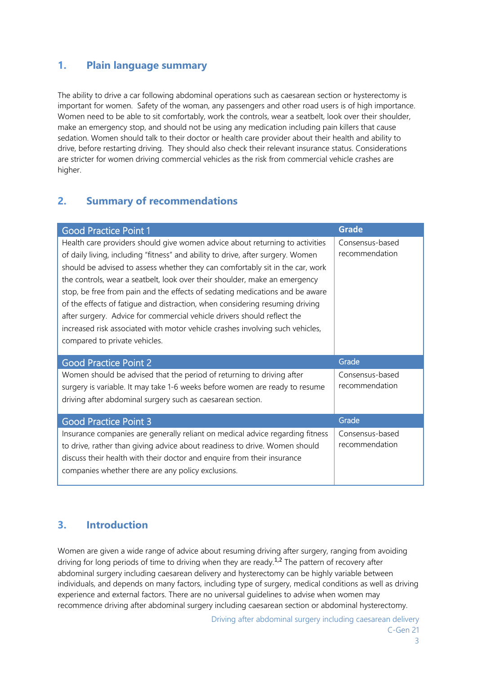### **1. Plain language summary**

The ability to drive a car following abdominal operations such as caesarean section or hysterectomy is important for women. Safety of the woman, any passengers and other road users is of high importance. Women need to be able to sit comfortably, work the controls, wear a seatbelt, look over their shoulder, make an emergency stop, and should not be using any medication including pain killers that cause sedation. Women should talk to their doctor or health care provider about their health and ability to drive, before restarting driving. They should also check their relevant insurance status. Considerations are stricter for women driving commercial vehicles as the risk from commercial vehicle crashes are higher.

#### **2. Summary of recommendations**

| <b>Good Practice Point 1</b>                                                                                                                                                                                                                                                                                                                                                                                                                                                                                                                                                                                                                                                                | <b>Grade</b>                      |
|---------------------------------------------------------------------------------------------------------------------------------------------------------------------------------------------------------------------------------------------------------------------------------------------------------------------------------------------------------------------------------------------------------------------------------------------------------------------------------------------------------------------------------------------------------------------------------------------------------------------------------------------------------------------------------------------|-----------------------------------|
| Health care providers should give women advice about returning to activities<br>of daily living, including "fitness" and ability to drive, after surgery. Women<br>should be advised to assess whether they can comfortably sit in the car, work<br>the controls, wear a seatbelt, look over their shoulder, make an emergency<br>stop, be free from pain and the effects of sedating medications and be aware<br>of the effects of fatigue and distraction, when considering resuming driving<br>after surgery. Advice for commercial vehicle drivers should reflect the<br>increased risk associated with motor vehicle crashes involving such vehicles,<br>compared to private vehicles. | Consensus-based<br>recommendation |
|                                                                                                                                                                                                                                                                                                                                                                                                                                                                                                                                                                                                                                                                                             |                                   |
| <b>Good Practice Point 2</b>                                                                                                                                                                                                                                                                                                                                                                                                                                                                                                                                                                                                                                                                | Grade                             |
| Women should be advised that the period of returning to driving after<br>surgery is variable. It may take 1-6 weeks before women are ready to resume<br>driving after abdominal surgery such as caesarean section.                                                                                                                                                                                                                                                                                                                                                                                                                                                                          | Consensus-based<br>recommendation |
| <b>Good Practice Point 3</b>                                                                                                                                                                                                                                                                                                                                                                                                                                                                                                                                                                                                                                                                | Grade                             |

## **3. Introduction**

Women are given a wide range of advice about resuming driving after surgery, ranging from avoiding driving for long periods of time to driving when they are ready.<sup>1,2</sup> The pattern of recovery after abdominal surgery including caesarean delivery and hysterectomy can be highly variable between individuals, and depends on many factors, including type of surgery, medical conditions as well as driving experience and external factors. There are no universal guidelines to advise when women may recommence driving after abdominal surgery including caesarean section or abdominal hysterectomy.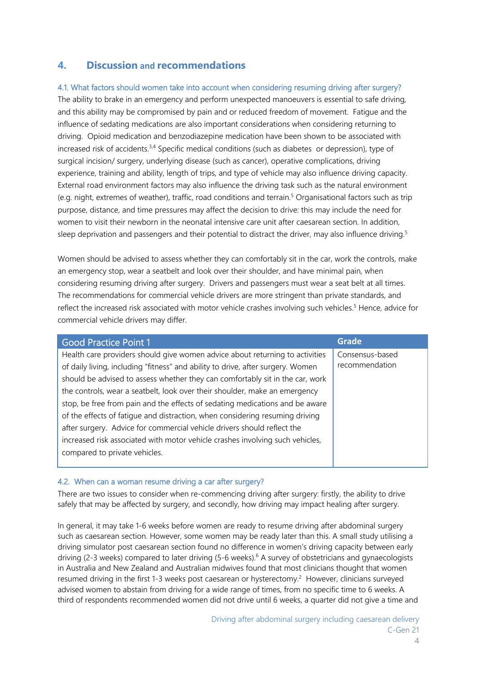#### **4. Discussion and recommendations**

#### 4.1. What factors should women take into account when considering resuming driving after surgery?

The ability to brake in an emergency and perform unexpected manoeuvers is essential to safe driving, and this ability may be compromised by pain and or reduced freedom of movement. Fatigue and the influence of sedating medications are also important considerations when considering returning to driving. Opioid medication and benzodiazepine medication have been shown to be associated with increased risk of accidents.<sup>3,4</sup> Specific medical conditions (such as diabetes or depression), type of surgical incision/ surgery, underlying disease (such as cancer), operative complications, driving experience, training and ability, length of trips, and type of vehicle may also influence driving capacity. External road environment factors may also influence the driving task such as the natural environment (e.g. night, extremes of weather), traffic, road conditions and terrain.<sup>5</sup> Organisational factors such as trip purpose, distance, and time pressures may affect the decision to drive: this may include the need for women to visit their newborn in the neonatal intensive care unit after caesarean section. In addition, sleep deprivation and passengers and their potential to distract the driver, may also influence driving.<sup>5</sup>

Women should be advised to assess whether they can comfortably sit in the car, work the controls, make an emergency stop, wear a seatbelt and look over their shoulder, and have minimal pain, when considering resuming driving after surgery. Drivers and passengers must wear a seat belt at all times. The recommendations for commercial vehicle drivers are more stringent than private standards, and reflect the increased risk associated with motor vehicle crashes involving such vehicles.<sup>5</sup> Hence, advice for commercial vehicle drivers may differ.

| <b>Good Practice Point 1</b>                                                    | <b>Grade</b>    |
|---------------------------------------------------------------------------------|-----------------|
| Health care providers should give women advice about returning to activities    | Consensus-based |
| of daily living, including "fitness" and ability to drive, after surgery. Women | recommendation  |
| should be advised to assess whether they can comfortably sit in the car, work   |                 |
| the controls, wear a seatbelt, look over their shoulder, make an emergency      |                 |
| stop, be free from pain and the effects of sedating medications and be aware    |                 |
| of the effects of fatigue and distraction, when considering resuming driving    |                 |
| after surgery. Advice for commercial vehicle drivers should reflect the         |                 |
| increased risk associated with motor vehicle crashes involving such vehicles,   |                 |
| compared to private vehicles.                                                   |                 |
|                                                                                 |                 |

#### 4.2. When can a woman resume driving a car after surgery?

There are two issues to consider when re-commencing driving after surgery: firstly, the ability to drive safely that may be affected by surgery, and secondly, how driving may impact healing after surgery.

In general, it may take 1-6 weeks before women are ready to resume driving after abdominal surgery such as caesarean section. However, some women may be ready later than this. A small study utilising a driving simulator post caesarean section found no difference in women's driving capacity between early driving (2-3 weeks) compared to later driving (5-6 weeks).<sup>6</sup> A survey of obstetricians and gynaecologists in Australia and New Zealand and Australian midwives found that most clinicians thought that women resumed driving in the first 1-3 weeks post caesarean or hysterectomy.<sup>2</sup> However, clinicians surveyed advised women to abstain from driving for a wide range of times, from no specific time to 6 weeks. A third of respondents recommended women did not drive until 6 weeks, a quarter did not give a time and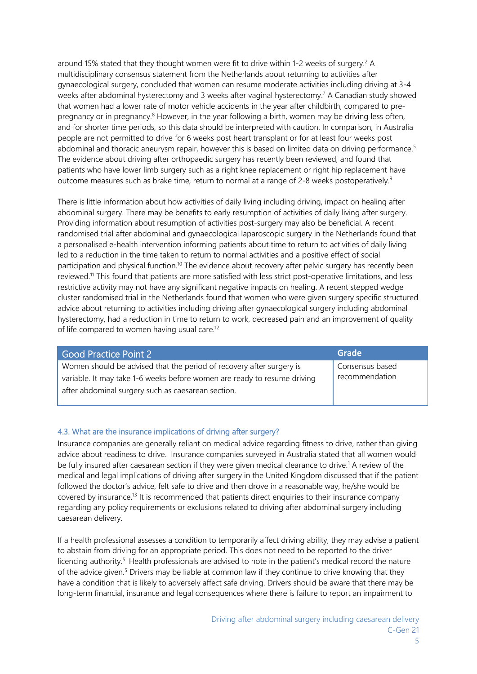around 15% stated that they thought women were fit to drive within 1-2 weeks of surgery.<sup>2</sup> A multidisciplinary consensus statement from the Netherlands about returning to activities after gynaecological surgery, concluded that women can resume moderate activities including driving at 3-4 weeks after abdominal hysterectomy and 3 weeks after vaginal hysterectomy.<sup>7</sup> A Canadian study showed that women had a lower rate of motor vehicle accidents in the year after childbirth, compared to prepregnancy or in pregnancy.<sup>8</sup> However, in the year following a birth, women may be driving less often, and for shorter time periods, so this data should be interpreted with caution. In comparison, in Australia people are not permitted to drive for 6 weeks post heart transplant or for at least four weeks post abdominal and thoracic aneurysm repair, however this is based on limited data on driving performance.<sup>5</sup> The evidence about driving after orthopaedic surgery has recently been reviewed, and found that patients who have lower limb surgery such as a right knee replacement or right hip replacement have outcome measures such as brake time, return to normal at a range of 2-8 weeks postoperatively.<sup>9</sup>

There is little information about how activities of daily living including driving, impact on healing after abdominal surgery. There may be benefits to early resumption of activities of daily living after surgery. Providing information about resumption of activities post-surgery may also be beneficial. A recent randomised trial after abdominal and gynaecological laparoscopic surgery in the Netherlands found that a personalised e-health intervention informing patients about time to return to activities of daily living led to a reduction in the time taken to return to normal activities and a positive effect of social participation and physical function.<sup>10</sup> The evidence about recovery after pelvic surgery has recently been reviewed.11 This found that patients are more satisfied with less strict post-operative limitations, and less restrictive activity may not have any significant negative impacts on healing. A recent stepped wedge cluster randomised trial in the Netherlands found that women who were given surgery specific structured advice about returning to activities including driving after gynaecological surgery including abdominal hysterectomy, had a reduction in time to return to work, decreased pain and an improvement of quality of life compared to women having usual care.<sup>12</sup>

| <b>Good Practice Point 2</b>                                             | Grade           |
|--------------------------------------------------------------------------|-----------------|
| Women should be advised that the period of recovery after surgery is     | Consensus based |
| variable. It may take 1-6 weeks before women are ready to resume driving | recommendation  |
| after abdominal surgery such as caesarean section.                       |                 |
|                                                                          |                 |

#### 4.3. What are the insurance implications of driving after surgery?

Insurance companies are generally reliant on medical advice regarding fitness to drive, rather than giving advice about readiness to drive. Insurance companies surveyed in Australia stated that all women would be fully insured after caesarean section if they were given medical clearance to drive.<sup>1</sup> A review of the medical and legal implications of driving after surgery in the United Kingdom discussed that if the patient followed the doctor's advice, felt safe to drive and then drove in a reasonable way, he/she would be covered by insurance.13 It is recommended that patients direct enquiries to their insurance company regarding any policy requirements or exclusions related to driving after abdominal surgery including caesarean delivery.

If a health professional assesses a condition to temporarily affect driving ability, they may advise a patient to abstain from driving for an appropriate period. This does not need to be reported to the driver licencing authority.<sup>5</sup> Health professionals are advised to note in the patient's medical record the nature of the advice given.<sup>5</sup> Drivers may be liable at common law if they continue to drive knowing that they have a condition that is likely to adversely affect safe driving. Drivers should be aware that there may be long-term financial, insurance and legal consequences where there is failure to report an impairment to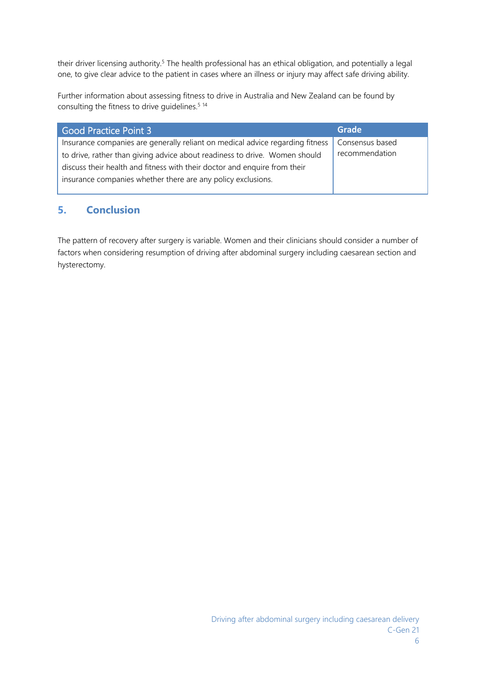their driver licensing authority.<sup>5</sup> The health professional has an ethical obligation, and potentially a legal one, to give clear advice to the patient in cases where an illness or injury may affect safe driving ability.

Further information about assessing fitness to drive in Australia and New Zealand can be found by consulting the fitness to drive guidelines.<sup>5 14</sup>

| <b>Good Practice Point 3</b>                                                  | Grade           |
|-------------------------------------------------------------------------------|-----------------|
| Insurance companies are generally reliant on medical advice regarding fitness | Consensus based |
| to drive, rather than giving advice about readiness to drive. Women should    | recommendation  |
| discuss their health and fitness with their doctor and enquire from their     |                 |
| insurance companies whether there are any policy exclusions.                  |                 |
|                                                                               |                 |

## **5. Conclusion**

The pattern of recovery after surgery is variable. Women and their clinicians should consider a number of factors when considering resumption of driving after abdominal surgery including caesarean section and hysterectomy.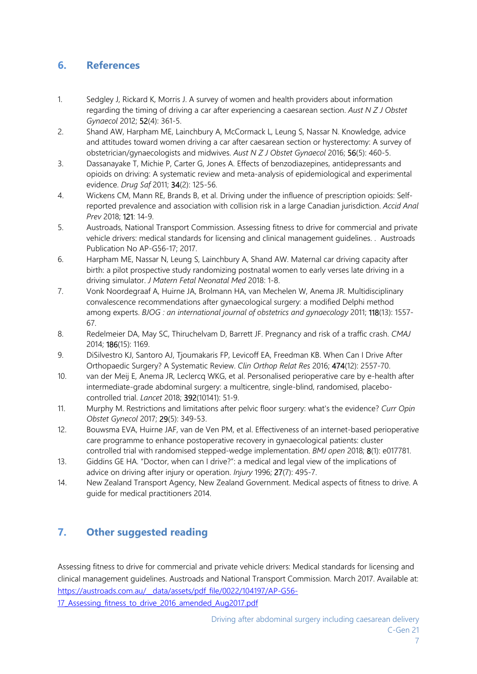## **6. References**

- 1. Sedgley J, Rickard K, Morris J. A survey of women and health providers about information regarding the timing of driving a car after experiencing a caesarean section. *Aust N Z J Obstet Gynaecol* 2012; 52(4): 361-5.
- 2. Shand AW, Harpham ME, Lainchbury A, McCormack L, Leung S, Nassar N. Knowledge, advice and attitudes toward women driving a car after caesarean section or hysterectomy: A survey of obstetrician/gynaecologists and midwives. *Aust N Z J Obstet Gynaecol* 2016; 56(5): 460-5.
- 3. Dassanayake T, Michie P, Carter G, Jones A. Effects of benzodiazepines, antidepressants and opioids on driving: A systematic review and meta-analysis of epidemiological and experimental evidence. *Drug Saf* 2011; 34(2): 125-56.
- 4. Wickens CM, Mann RE, Brands B, et al. Driving under the influence of prescription opioids: Selfreported prevalence and association with collision risk in a large Canadian jurisdiction. *Accid Anal Prev* 2018; 121: 14-9.
- 5. Austroads, National Transport Commission. Assessing fitness to drive for commercial and private vehicle drivers: medical standards for licensing and clinical management guidelines. . Austroads Publication No AP-G56-17; 2017.
- 6. Harpham ME, Nassar N, Leung S, Lainchbury A, Shand AW. Maternal car driving capacity after birth: a pilot prospective study randomizing postnatal women to early verses late driving in a driving simulator. *J Matern Fetal Neonatal Med* 2018: 1-8.
- 7. Vonk Noordegraaf A, Huirne JA, Brolmann HA, van Mechelen W, Anema JR. Multidisciplinary convalescence recommendations after gynaecological surgery: a modified Delphi method among experts. *BJOG : an international journal of obstetrics and gynaecology* 2011; 118(13): 1557- 67.
- 8. Redelmeier DA, May SC, Thiruchelvam D, Barrett JF. Pregnancy and risk of a traffic crash. *CMAJ* 2014; 186(15): 1169.
- 9. DiSilvestro KJ, Santoro AJ, Tjoumakaris FP, Levicoff EA, Freedman KB. When Can I Drive After Orthopaedic Surgery? A Systematic Review. *Clin Orthop Relat Res* 2016; 474(12): 2557-70.
- 10. van der Meij E, Anema JR, Leclercq WKG, et al. Personalised perioperative care by e-health after intermediate-grade abdominal surgery: a multicentre, single-blind, randomised, placebocontrolled trial. *Lancet* 2018; 392(10141): 51-9.
- 11. Murphy M. Restrictions and limitations after pelvic floor surgery: what's the evidence? *Curr Opin Obstet Gynecol* 2017; 29(5): 349-53.
- 12. Bouwsma EVA, Huirne JAF, van de Ven PM, et al. Effectiveness of an internet-based perioperative care programme to enhance postoperative recovery in gynaecological patients: cluster controlled trial with randomised stepped-wedge implementation. *BMJ open* 2018; 8(1): e017781.
- 13. Giddins GE HA. "Doctor, when can I drive?": a medical and legal view of the implications of advice on driving after injury or operation. *Injury* 1996; 27(7): 495-7.
- 14. New Zealand Transport Agency, New Zealand Government. Medical aspects of fitness to drive. A guide for medical practitioners 2014.

# **7. Other suggested reading**

Assessing fitness to drive for commercial and private vehicle drivers: Medical standards for licensing and clinical management guidelines. Austroads and National Transport Commission. March 2017. Available at: https://austroads.com.au/\_\_data/assets/pdf\_file/0022/104197/AP-G56- 17 Assessing fitness to drive 2016 amended Aug2017.pdf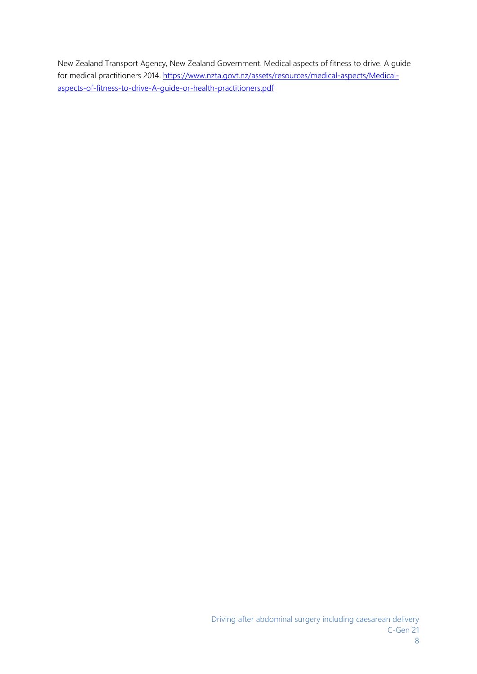New Zealand Transport Agency, New Zealand Government. Medical aspects of fitness to drive. A guide for medical practitioners 2014. https://www.nzta.govt.nz/assets/resources/medical-aspects/Medicalaspects-of-fitness-to-drive-A-guide-or-health-practitioners.pdf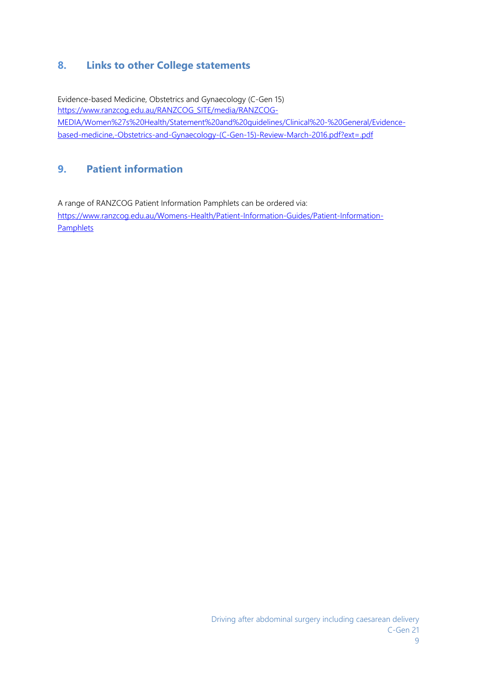## **8. Links to other College statements**

Evidence-based Medicine, Obstetrics and Gynaecology (C-Gen 15) https://www.ranzcog.edu.au/RANZCOG\_SITE/media/RANZCOG-MEDIA/Women%27s%20Health/Statement%20and%20guidelines/Clinical%20-%20General/Evidencebased-medicine,-Obstetrics-and-Gynaecology-(C-Gen-15)-Review-March-2016.pdf?ext=.pdf

## **9. Patient information**

A range of RANZCOG Patient Information Pamphlets can be ordered via: https://www.ranzcog.edu.au/Womens-Health/Patient-Information-Guides/Patient-Information-**Pamphlets**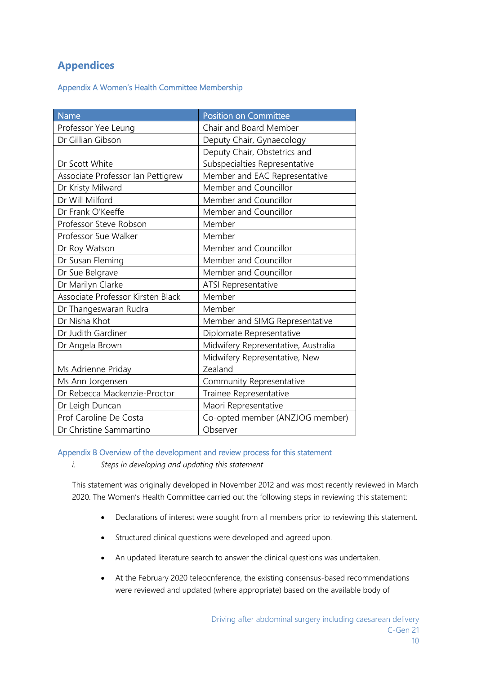## **Appendices**

Appendix A Women's Health Committee Membership

| <b>Name</b>                       | Position on Committee               |
|-----------------------------------|-------------------------------------|
| Professor Yee Leung               | Chair and Board Member              |
| Dr Gillian Gibson                 | Deputy Chair, Gynaecology           |
|                                   | Deputy Chair, Obstetrics and        |
| Dr Scott White                    | Subspecialties Representative       |
| Associate Professor Ian Pettigrew | Member and EAC Representative       |
| Dr Kristy Milward                 | Member and Councillor               |
| Dr Will Milford                   | Member and Councillor               |
| Dr Frank O'Keeffe                 | Member and Councillor               |
| Professor Steve Robson            | Member                              |
| Professor Sue Walker              | Member                              |
| Dr Roy Watson                     | Member and Councillor               |
| Dr Susan Fleming                  | Member and Councillor               |
| Dr Sue Belgrave                   | Member and Councillor               |
| Dr Marilyn Clarke                 | <b>ATSI Representative</b>          |
| Associate Professor Kirsten Black | Member                              |
| Dr Thangeswaran Rudra             | Member                              |
| Dr Nisha Khot                     | Member and SIMG Representative      |
| Dr Judith Gardiner                | Diplomate Representative            |
| Dr Angela Brown                   | Midwifery Representative, Australia |
|                                   | Midwifery Representative, New       |
| Ms Adrienne Priday                | Zealand                             |
| Ms Ann Jorgensen                  | Community Representative            |
| Dr Rebecca Mackenzie-Proctor      | Trainee Representative              |
| Dr Leigh Duncan                   | Maori Representative                |
| Prof Caroline De Costa            | Co-opted member (ANZJOG member)     |
| Dr Christine Sammartino           | Observer                            |

#### Appendix B Overview of the development and review process for this statement

*i. Steps in developing and updating this statement* 

This statement was originally developed in November 2012 and was most recently reviewed in March 2020. The Women's Health Committee carried out the following steps in reviewing this statement:

- Declarations of interest were sought from all members prior to reviewing this statement.
- Structured clinical questions were developed and agreed upon.
- An updated literature search to answer the clinical questions was undertaken.
- At the February 2020 teleocnference, the existing consensus-based recommendations were reviewed and updated (where appropriate) based on the available body of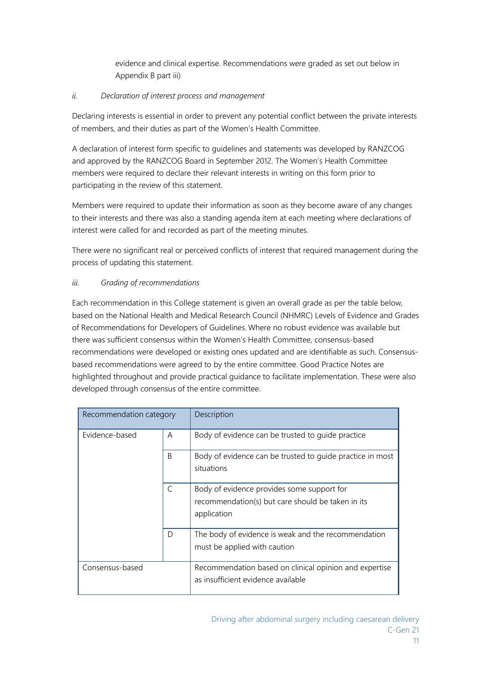evidence and clinical expertise. Recommendations were graded as set out below in Appendix B part iii)

#### *ii. Declaration of interest process and management*

Declaring interests is essential in order to prevent any potential conflict between the private interests of members, and their duties as part of the Women's Health Committee.

A declaration of interest form specific to guidelines and statements was developed by RANZCOG and approved by the RANZCOG Board in September 2012. The Women's Health Committee members were required to declare their relevant interests in writing on this form prior to participating in the review of this statement.

Members were required to update their information as soon as they become aware of any changes to their interests and there was also a standing agenda item at each meeting where declarations of interest were called for and recorded as part of the meeting minutes.

There were no significant real or perceived conflicts of interest that required management during the process of updating this statement.

#### *iii. Grading of recommendations*

Each recommendation in this College statement is given an overall grade as per the table below, based on the National Health and Medical Research Council (NHMRC) Levels of Evidence and Grades of Recommendations for Developers of Guidelines. Where no robust evidence was available but there was sufficient consensus within the Women's Health Committee, consensus-based recommendations were developed or existing ones updated and are identifiable as such. Consensusbased recommendations were agreed to by the entire committee. Good Practice Notes are highlighted throughout and provide practical guidance to facilitate implementation. These were also developed through consensus of the entire committee.

| Recommendation category |   | Description                                                                                                    |
|-------------------------|---|----------------------------------------------------------------------------------------------------------------|
| Evidence-based          | A | Body of evidence can be trusted to quide practice                                                              |
|                         | B | Body of evidence can be trusted to quide practice in most<br>situations                                        |
|                         | C | Body of evidence provides some support for<br>recommendation(s) but care should be taken in its<br>application |
|                         | D | The body of evidence is weak and the recommendation<br>must be applied with caution                            |
| Consensus-based         |   | Recommendation based on clinical opinion and expertise<br>as insufficient evidence available                   |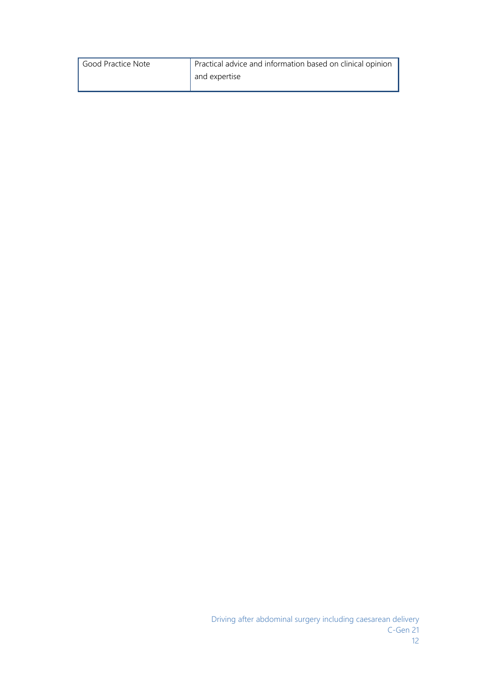| Good Practice Note | Practical advice and information based on clinical opinion |
|--------------------|------------------------------------------------------------|
|                    | and expertise                                              |